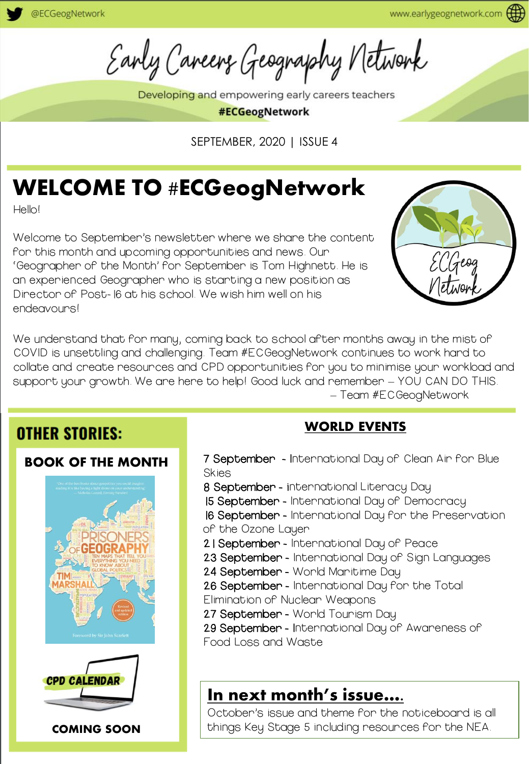Early Careers Geography Network

Developing and empowering early careers teachers

#ECGeogNetwork

SEPTEMBER, 2020 | ISSUE 4

## WELCOME TO #ECGeogNetwork

Hello!

Welcome to September's newsletter where we share the content for this month and upcoming opportunities and news. Our 'Geographer of the Month' for September is Tom Highnett. He is an experienced Geographer who is starting a new position as Director of Post-16 at his school. We wish him well on his endeavours!



We understand that for many, coming back to school after months away in the mist of COVID is unsettling and challenging. Team #ECGeogNetwork continues to work hard to collate and create resources and CPD opportunities for you to minimise your workload and support your growth. We are here to help! Good luck and remember – YOU CAN DO THIS. – Team #ECGeogNetwork

### **OTHER STORIES:**

#### BOOK OF THE MONTH





COMING SOON

#### WORLD EVENTS

- 7 September International Day of Clean Air for Blue **Skies**
- 8 September international Literacy Day
- 15 September International Day of Democracy
- 16 September International Day for the Preservation
- of the Ozone Layer
- 21 September International Day of Peace
- 23 September International Day of Sign Languages
- 24 September World Maritime Day
- 26 September International Day for the Total
- Elimination of Nuclear Weapons
- 27 September World Tourism Day
- 29 September International Day of Awareness of

Food Loss and Waste

### In next month's issue….

October's issue and theme for the noticeboard is all things Key Stage 5 including resources for the NEA.